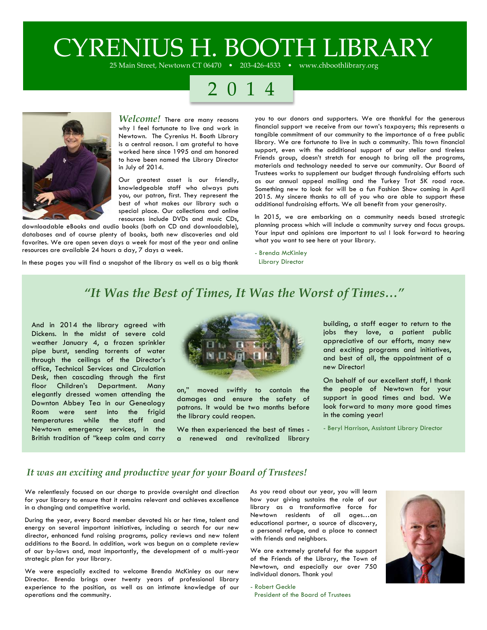# CYRENIUS H. BOOTH LIBRARY

25 Main Street, Newtown CT 06470 • 203-426-4533 • www.chboothlibrary.org

## 2 0 1 4



*Welcome!* There are many reasons why I feel fortunate to live and work in Newtown. The Cyrenius H. Booth Library is a central reason. I am grateful to have worked here since 1995 and am honored to have been named the Library Director in July of 2014.

Our greatest asset is our friendly, knowledgeable staff who always puts you, our patron, first. They represent the best of what makes our library such a special place. Our collections and online resources include DVDs and music CDs,

downloadable eBooks and audio books (both on CD and downloadable), databases and of course plenty of books, both new discoveries and old favorites. We are open seven days a week for most of the year and online resources are available 24 hours a day, 7 days a week.

In these pages you will find a snapshot of the library as well as a big thank

you to our donors and supporters. We are thankful for the generous financial support we receive from our town's taxpayers; this represents a tangible commitment of our community to the importance of a free public library. We are fortunate to live in such a community. This town financial support, even with the additional support of our stellar and tireless Friends group, doesn't stretch far enough to bring all the programs, materials and technology needed to serve our community. Our Board of Trustees works to supplement our budget through fundraising efforts such as our annual appeal mailing and the Turkey Trot 5K road race. Something new to look for will be a fun Fashion Show coming in April 2015. My sincere thanks to all of you who are able to support these additional fundraising efforts. We all benefit from your generosity.

In 2015, we are embarking on a community needs based strategic planning process which will include a community survey and focus groups. Your input and opinions are important to us! I look forward to hearing what you want to see here at your library.

- Brenda McKinley
- Library Director

### *"It Was the Best of Times, It Was the Worst of Times…"*

And in 2014 the library agreed with Dickens. In the midst of severe cold weather January 4, a frozen sprinkler pipe burst, sending torrents of water through the ceilings of the Director's office, Technical Services and Circulation Desk, then cascading through the first floor Children's Department. Many elegantly dressed women attending the Downton Abbey Tea in our Genealogy Room were sent into the frigid temperatures while the staff and Newtown emergency services, in the British tradition of "keep calm and carry



on," moved swiftly to contain the damages and ensure the safety of patrons. It would be two months before the library could reopen.

We then experienced the best of times a renewed and revitalized library

building, a staff eager to return to the jobs they love, a patient public appreciative of our efforts, many new and exciting programs and initiatives, and best of all, the appointment of a new Director!

On behalf of our excellent staff, I thank the people of Newtown for your support in good times and bad. We look forward to many more good times in the coming year!

- Beryl Harrison, Assistant Library Director

### *It was an exciting and productive year for your Board of Trustees!*

We relentlessly focused on our charge to provide oversight and direction for your library to ensure that it remains relevant and achieves excellence in a changing and competitive world.

During the year, every Board member devoted his or her time, talent and energy on several important initiatives, including a search for our new director, enhanced fund raising programs, policy reviews and new talent additions to the Board. In addition, work was begun on a complete review of our by-laws and, most importantly, the development of a multi-year strategic plan for your library.

We were especially excited to welcome Brenda McKinley as our new Director. Brenda brings over twenty years of professional library experience to the position, as well as an intimate knowledge of our operations and the community.

As you read about our year, you will learn how your giving sustains the role of our library as a transformative force for Newtown residents of all ages…an educational partner, a source of discovery, a personal refuge, and a place to connect with friends and neighbors.

We are extremely grateful for the support of the Friends of the Library, the Town of Newtown, and especially our over 750 individual donors. Thank you!

- Robert Geckle President of the Board of Trustees

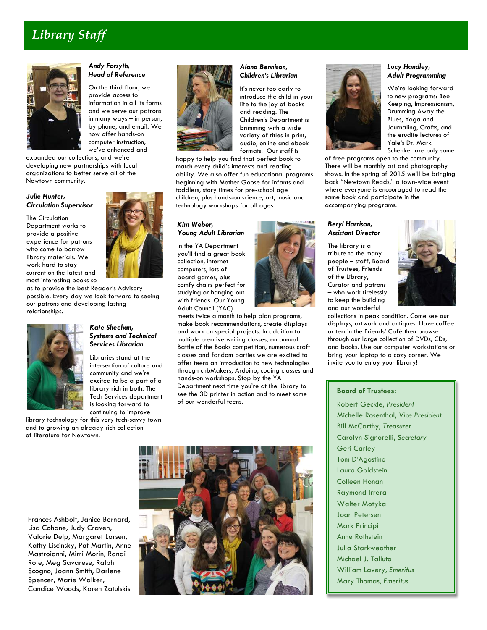### *Library Staff*



#### *Andy Forsyth, Head of Reference*

On the third floor, we provide access to information in all its forms and we serve our patrons in many ways – in person, by phone, and email. We now offer hands-on computer instruction, we've enhanced and

expanded our collections, and we're developing new partnerships with local organizations to better serve all of the Newtown community.

#### *Julie Hunter, Circulation Supervisor*

The Circulation Department works to provide a positive experience for patrons who come to borrow library materials. We work hard to stay current on the latest and most interesting books so

as to provide the best Reader's Advisory possible. Every day we look forward to seeing our patrons and developing lasting relationships.



#### *Kate Sheehan, Systems and Technical Services Librarian*

Libraries stand at the intersection of culture and community and we're excited to be a part of a library rich in both. The Tech Services department is looking forward to continuing to improve

library technology for this very tech-savvy town and to growing an already rich collection of literature for Newtown.



### *Alana Bennison,*

It's never too early to life to the joy of books and reading. The brimming with a wide variety of titles in print, formats. Our staff is

happy to help you find that perfect book to match every child's interests and reading ability. We also offer fun educational programs beginning with Mother Goose for infants and toddlers, story times for pre-school age children, plus hands-on science, art, music and technology workshops for all ages.

#### *Kim Weber, Young Adult Librarian*

In the YA Department you'll find a great book collection, internet computers, lots of board games, plus comfy chairs perfect for studying or hanging out with friends. Our Young Adult Council (YAC)



meets twice a month to help plan programs, make book recommendations, create displays and work on special projects. In addition to multiple creative writing classes, an annual Battle of the Books competition, numerous craft classes and fandom parties we are excited to offer teens an introduction to new technologies through chbMakers, Arduino, coding classes and hands-on workshops. Stop by the YA Department next time you're at the library to see the 3D printer in action and to meet some of our wonderful teens.



## *Children's Librarian*

introduce the child in your Children's Department is audio, online and ebook

#### *Lucy Handley, Adult Programming*

We're looking forward to new programs: Bee Keeping, Impressionism, Drumming Away the Blues, Yoga and Journaling, Crafts, and the erudite lectures of Yale's Dr. Mark Schenker are only some

of free programs open to the community. There will be monthly art and photography shows. In the spring of 2015 we'll be bringing back "Newtown Reads," a town-wide event where everyone is encouraged to read the same book and participate in the accompanying programs.

#### *Beryl Harrison, Assistant Director*

The library is a tribute to the many people – staff, Board of Trustees, Friends of the Library, Curator and patrons – who work tirelessly to keep the building and our wonderful



collections in peak condition. Come see our displays, artwork and antiques. Have coffee or tea in the Friends' Café then browse through our large collection of DVDs, CDs, and books. Use our computer workstations or bring your laptop to a cozy corner. We invite you to enjoy your library!

#### **Board of Trustees:**

Robert Geckle, *President* Michelle Rosenthal, *Vice President* Bill McCarthy, *Treasurer* Carolyn Signorelli, *Secretary* Geri Carley Tom D'Agostino Laura Goldstein Colleen Honan Raymond Irrera Walter Motyka Joan Petersen Mark Principi Anne Rothstein Julia Starkweather Michael J. Talluto William Lavery, *Emeritus* Mary Thomas, *Emeritus*

Frances Ashbolt, Janice Bernard, Lisa Cohane, Judy Craven, Valorie Delp, Margaret Larsen, Kathy Liscinsky, Pat Martin, Anne Mastroianni, Mimi Morin, Randi Rote, Meg Savarese, Ralph Scogno, Joann Smith, Darlene Spencer, Marie Walker, Candice Woods, Karen Zatulskis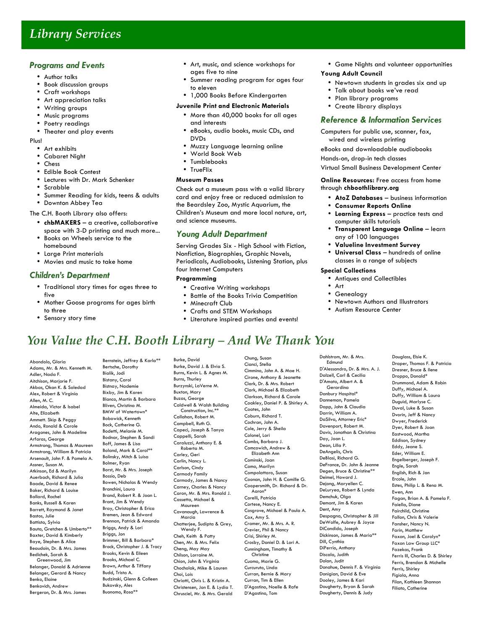### *Library Services*

#### *Programs and Events*

- Author talks
- Book discussion groups
- Craft workshops
- Art appreciation talks<br>• Writing aroups
- Writing groups
- Music programs
- Poetry readings
- Theater and play events

#### Plus!

- Art exhibits
- Cabaret Night<br>• Chess
- Chess
- Edible Book Contest
- Lectures with Dr. Mark Schenker<br>• Scrabble
- Scrabble<br>• Summor P
- Summer Reading for kids, teens & adults
- Downton Abbey Tea

The C.H. Booth Library also offers:

- **chbMAKERS** a creative, collaborative space with 3-D printing and much more...
- Books on Wheels service to the homebound
- Large Print materials
- Movies and music to take home

#### *Children's Department*

- Traditional story times for ages three to five
- Mother Goose programs for ages birth to three
- Sensory story time
- Art, music, and science workshops for ages five to nine
- Summer reading program for ages four to eleven
- 1,000 Books Before Kindergarten

#### **Juvenile Print and Electronic Materials**

- More than 40,000 books for all ages and interests
- eBooks, audio books, music CDs, and DVDs
- Muzzy Language learning online
	- World Book Web
- Tumblebooks
- TrueFlix

#### **Museum Passes**

Check out a museum pass with a valid library card and enjoy free or reduced admission to the Beardsley Zoo, Mystic Aquarium, the Children's Museum and more local nature, art, and science museums.

#### *Young Adult Department*

Serving Grades Six - High School with Fiction, Nonfiction, Biographies, Graphic Novels, Periodicals, Audiobooks, Listening Station, plus four Internet Computers

#### **Programming**

- Creative Writing workshops
- Battle of the Books Trivia Competition
- Minecraft Club
- Crafts and STEM Workshops
- Literature inspired parties and events!
- Game Nights and volunteer opportunities **Young Adult Council**
	- Newtown students in grades six and up
	- Talk about books we've read
	- Plan library programs
	- Create library displays

#### *Reference & Information Services*

Computers for public use, scanner, fax, wired and wireless printing

eBooks and downloadable audiobooks

Hands-on, drop-in tech classes

Virtual Small Business Development Center

- **Online Resources:** Free access from home through **chboothlibrary.org**
	- **AtoZ Databases** business information
	- **Consumer Reports Online**
	- **Learning Express** practice tests and computer skills tutorials
	- **Transparent Language Online** learn any of 100 languages
	- **Valueline Investment Survey**
	- **Universal Class** hundreds of online classes in a range of subjects

#### **Special Collections**

- Antiques and Collectibles
- Art<br>•  $\overline{C}$
- **Genealogy**
- Newtown Authors and Illustrators
- Autism Resource Center

### *You Value the C.H. Booth Library – And We Thank You*

Abondolo, Gloria Adams, Mr. & Mrs. Kenneth M. Adler, Nada F. Aitchison, Marjorie F. Akbas, Okan K. & Soledad Alex, Robert & Virginia Allen, M. C. Almeida, Victor & Isabel Alte, Elizabeth Ammett. Skip & Peggy Ando, Ronald & Carole Aragones, John & Madeline Arfaras, George Armstrong, Thomas & Maureen Armstrong, William & Patricia Arsenault, John F. & Pamela A. Assner, Susan M. Atkinson, Ed & Marilyn Auerbach, Richard & Julia Baade, David & Renee Baker, Richard & Louise Ballard, Rachel Banks, Russell & Karen Barrett, Raymond & Janet Bastos, Julie Battista, Sylvia Bauta, Gretchen & Umberto\*\* Baxter, David & Kimberly Baye, Stephen & Alice Beaudoin, Dr. & Mrs. James Bedichek, Sarah & Greenwood, Jim Belanger, Donald & Adrienne Belanger, Gerard & Nancy Benko, Elaine Benkovich, Andrew Bergeron, Dr. & Mrs. James

Bernstein, Jeffrey & Karla\*\* Bertsche, Dorothy Bialik, Jodi Bistany, Carol Bistnay, Nademie Bixby, Jim & Karen Blanco, Martin & Barbara Bliven, Christina M. BMW of Watertown\* Bobowick, Kenneth Bock, Catherine G. Bodetti, Melanie M. Bodnar, Stephen & Sandi Boff, James & Lisa Boland, Mark & Carol\*\* Bolinsky, Mitch & Luisa Bolmer, Ryan Borst, Mr. & Mrs. Joseph Bossio, Deb Bowen, Nicholas & Wendy Branchini, Laura Brand, Robert R. & Joan L. Brant, Jim & Wendy Bray, Christopher & Erica Bremen, Jean & Edward Brennan, Patrick & Amanda Briggs, Andy & Lori Briggs, Jon Brimmer, Bill & Barbara\* Brock, Christopher J. & Tracy Brooks, Kevin & Eileen Brooks, Michael C. Brown, Arthur & Tiffany Budd, Trista A. Budzinski, Glenn & Colleen Bukovsky, Ales Buonomo, Rosa\*\*

Burke, David Burke, David J. & Elvia S. Burns, Kevin L. & Agnes M. Burns, Thurley Burzynski, LaVerne M. Buxton, Mary Buzas, George Caldwell & Walsh Building Construction, Inc.\* Callahan, Robert M. Campbell, Ruth G. Capeci, Joseph & Tanya Cappelli, Sarah Caraluzzi, Anthony E. & Roberta M. Carley, Geri Carlin, Nancy L. Carlson, Cindy Carmody Family Carmody, James & Nancy Carney, Charles & Nancy Caron, Mr. & Mrs. Ronald J. Cassetta, Michael & Maureen Cavanaugh, Lawrence & Marcia Chatterjee, Sudipta & Grey, Wendy F. Cheh, Keith & Patty Chen, Mr. & Mrs. Felix Cheng, May May Chilson, Lorraine M. Chion, John & Virginia Chocholak, Mike & Lauren Choi, Lois Chriatti, Chris L. & Kristin A. Christensen, Jon E. & Lydia T. Chrusciel, Mr. & Mrs. Gerald

Chung, Susan Cianci, Stella Cimmino, John A. & Mae H. Cirone, Anthony & Jeanette Clark, Dr. & Mrs. Robert Clark, Michael & Elizabeth Clarkson, Richard & Carole Coakley, Daniel P. & Shirley A. Coates, John Coburn, Richard T. Cochran, John A. Cole, Jerry & Sheila Colonel, Lori Combs, Barbara J. Comcowich, Andrew & Elizabeth Ann Cominski, Joan Como, Marilyn Compolattaro, Susan Coonan, John H. & Camille G. Coopersmith, Dr. Richard & Dr. Aaron\* Corelli, Patricia Cortese, Nancy E. Cosgrove, Michael & Paula A. Cox, Amy S. Cramer, Mr. & Mrs. A. R. Crevier, Phil & Nancy Crisi, Shirley M. Crosby, Daniel D. & Lori A. Cunningham, Timothy & **Christine** Cuomo, Marie G. Curcuruto, Linda Curran, Bernie & Mary Curran, Tim & Ellen D'Agostino, Noelle & Rafe D'Agostino, Tom

Dahlstrom, Mr. & Mrs. **Edmund** D'Alessandro, Dr. & Mrs. A. J. Dalzell, Carl & Cecilia D'Amato, Albert A. & Gerardina Danbury Hospital\* Danneman, Pamela Dapp, John & Claudia Darrin, William A. DaSilva, Attorney Eric\* Davenport, Robert M. Davis, Jonathan & Christina Day, Joan L. Dean, Lilla P. DeAngelis, Chris DeBlasi, Richard G. DeFrance, Dr. John & Jeanne Degen, Bruce & Christine\*\* Deimel, Howard J. Dejong, Maryellen C. DeLuryea, Robert & Lynda Demchuk, Olaa Demont, Jim & Karen Dent, Amy Despagna, Christopher & Jill DeWolfe, Aubrey & Joyce DiCandido, Joseph Dickinson, James & Maria\*\* Dill, Cynthia DiPerrio, Anthony Discala, Judith Dolan, Judit Donahue, Dennis F. & Virginia Donigian, David & Eve Dooley, James & Kari Dougherty, Bryan & Sarah

Dougherty, Dennis & Judy

Douglass, Elsie K. Draper, Thomas F. & Patricia Dresner, Bruce & Ilene Droppo, Donald\* Drummond, Adam & Robin Duffy, Michael A. Duffy, William & Laura Duguid, Marlyse C. Duval, Luke & Susan Dvorin, Jeff & Nancy Dwyer, Frederick Dyer, Robert & Joan Eastwood, Martha Eddison, Sydney Eddy, Jeane S. Eder, William E. Engelberger, Joseph F. Engle, Sarah English, Rich & Jan Ercole, John Estes, Philip L. & Rena M. Ewen, Ann Fagan, Brian A. & Pamela F. Faiella, Diane Fairchild, Christine Fallon, Chris & Valerie Fansher, Nancy N. Farin, Matthew Faxon, Joel & Carolyn\* Faxon Law Group LLC\* Fazekas, Frank Ferris III, Charles D. & Shirley Ferris, Brendan & Michelle Ferris, Shirley Figiola, Anna Filan, Kathleen Shannon Filiato, Catherine